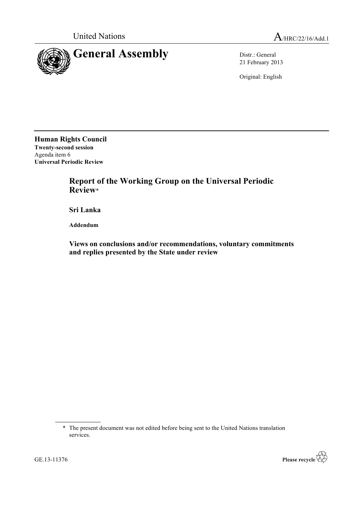

21 February 2013

Original: English

**Human Rights Council Twenty-second session** Agenda item 6 **Universal Periodic Review**

> **Report of the Working Group on the Universal Periodic Review**\*

**Sri Lanka**

**Addendum**

**Views on conclusions and/or recommendations, voluntary commitments and replies presented by the State under review**



<sup>\*</sup> The present document was not edited before being sent to the United Nations translation services.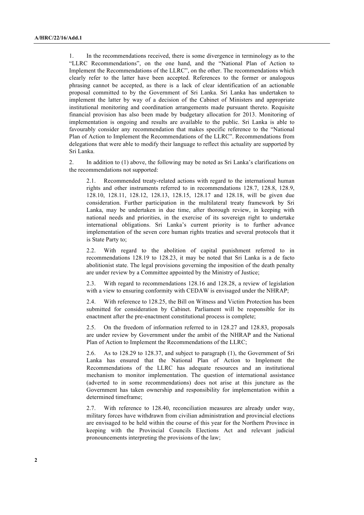1. In the recommendations received, there is some divergence in terminology as to the "LLRC Recommendations", on the one hand, and the "National Plan of Action to Implement the Recommendations of the LLRC", on the other. The recommendations which clearly refer to the latter have been accepted. References to the former or analogous phrasing cannot be accepted, as there is a lack of clear identification of an actionable proposal committed to by the Government of Sri Lanka. Sri Lanka has undertaken to implement the latter by way of a decision of the Cabinet of Ministers and appropriate institutional monitoring and coordination arrangements made pursuant thereto. Requisite financial provision has also been made by budgetary allocation for 2013. Monitoring of implementation is ongoing and results are available to the public. Sri Lanka is able to favourably consider any recommendation that makes specific reference to the "National Plan of Action to Implement the Recommendations of the LLRC". Recommendations from delegations that were able to modify their language to reflect this actuality are supported by Sri Lanka.

2. In addition to (1) above, the following may be noted as Sri Lanka's clarifications on the recommendations not supported:

2.1. Recommended treaty-related actions with regard to the international human rights and other instruments referred to in recommendations 128.7, 128.8, 128.9, 128.10, 128.11, 128.12, 128.13, 128.15, 128.17 and 128.18, will be given due consideration. Further participation in the multilateral treaty framework by Sri Lanka, may be undertaken in due time, after thorough review, in keeping with national needs and priorities, in the exercise of its sovereign right to undertake international obligations. Sri Lanka's current priority is to further advance implementation of the seven core human rights treaties and several protocols that it is State Party to;

2.2. With regard to the abolition of capital punishment referred to in recommendations 128.19 to 128.23, it may be noted that Sri Lanka is a de facto abolitionist state. The legal provisions governing the imposition of the death penalty are under review by a Committee appointed by the Ministry of Justice;

2.3. With regard to recommendations 128.16 and 128.28, a review of legislation with a view to ensuring conformity with CEDAW is envisaged under the NHRAP;

2.4. With reference to 128.25, the Bill on Witness and Victim Protection has been submitted for consideration by Cabinet. Parliament will be responsible for its enactment after the pre-enactment constitutional process is complete;

2.5. On the freedom of information referred to in 128.27 and 128.83, proposals are under review by Government under the ambit of the NHRAP and the National Plan of Action to Implement the Recommendations of the LLRC;

2.6. As to 128.29 to 128.37, and subject to paragraph (1), the Government of Sri Lanka has ensured that the National Plan of Action to Implement the Recommendations of the LLRC has adequate resources and an institutional mechanism to monitor implementation. The question of international assistance (adverted to in some recommendations) does not arise at this juncture as the Government has taken ownership and responsibility for implementation within a determined timeframe;

2.7. With reference to 128.40, reconciliation measures are already under way, military forces have withdrawn from civilian administration and provincial elections are envisaged to be held within the course of this year for the Northern Province in keeping with the Provincial Councils Elections Act and relevant judicial pronouncements interpreting the provisions of the law;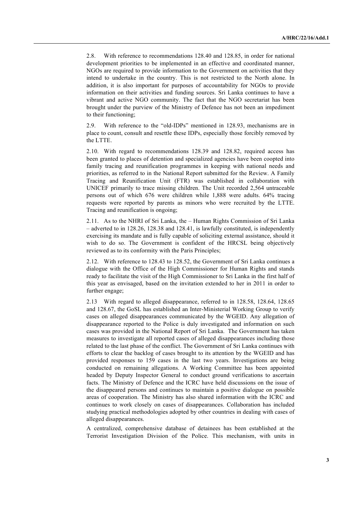2.8. With reference to recommendations 128.40 and 128.85, in order for national development priorities to be implemented in an effective and coordinated manner, NGOs are required to provide information to the Government on activities that they intend to undertake in the country. This is not restricted to the North alone. In addition, it is also important for purposes of accountability for NGOs to provide information on their activities and funding sources. Sri Lanka continues to have a vibrant and active NGO community. The fact that the NGO secretariat has been brought under the purview of the Ministry of Defence has not been an impediment to their functioning;

2.9. With reference to the "old-IDPs" mentioned in 128.93, mechanisms are in place to count, consult and resettle these IDPs, especially those forcibly removed by the LTTE.

2.10. With regard to recommendations 128.39 and 128.82, required access has been granted to places of detention and specialized agencies have been coopted into family tracing and reunification programmes in keeping with national needs and priorities, as referred to in the National Report submitted for the Review. A Family Tracing and Reunification Unit (FTR) was established in collaboration with UNICEF primarily to trace missing children. The Unit recorded 2,564 untraceable persons out of which 676 were children while 1,888 were adults. 64% tracing requests were reported by parents as minors who were recruited by the LTTE. Tracing and reunification is ongoing;

2.11. As to the NHRI of Sri Lanka, the – Human Rights Commission of Sri Lanka – adverted to in 128.26, 128.38 and 128.41, is lawfully constituted, is independently exercising its mandate and is fully capable of soliciting external assistance, should it wish to do so. The Government is confident of the HRCSL being objectively reviewed as to its conformity with the Paris Principles;

2.12. With reference to 128.43 to 128.52, the Government of Sri Lanka continues a dialogue with the Office of the High Commissioner for Human Rights and stands ready to facilitate the visit of the High Commissioner to Sri Lanka in the first half of this year as envisaged, based on the invitation extended to her in 2011 in order to further engage;

2.13 With regard to alleged disappearance, referred to in 128.58, 128.64, 128.65 and 128.67, the GoSL has established an Inter-Ministerial Working Group to verify cases on alleged disappearances communicated by the WGEID. Any allegation of disappearance reported to the Police is duly investigated and information on such cases was provided in the National Report of Sri Lanka. The Government has taken measures to investigate all reported cases of alleged disappearances including those related to the last phase of the conflict. The Government of Sri Lanka continues with efforts to clear the backlog of cases brought to its attention by the WGEID and has provided responses to 159 cases in the last two years. Investigations are being conducted on remaining allegations. A Working Committee has been appointed headed by Deputy Inspector General to conduct ground verifications to ascertain facts. The Ministry of Defence and the ICRC have held discussions on the issue of the disappeared persons and continues to maintain a positive dialogue on possible areas of cooperation. The Ministry has also shared information with the ICRC and continues to work closely on cases of disappearances. Collaboration has included studying practical methodologies adopted by other countries in dealing with cases of alleged disappearances.

A centralized, comprehensive database of detainees has been established at the Terrorist Investigation Division of the Police. This mechanism, with units in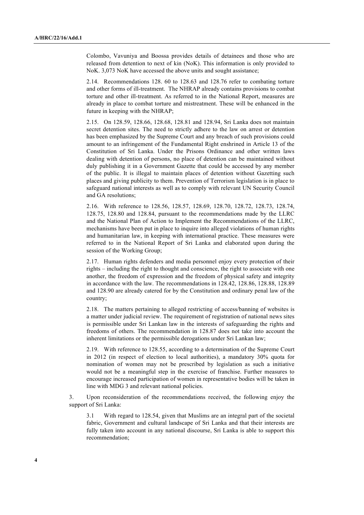Colombo, Vavuniya and Boossa provides details of detainees and those who are released from detention to next of kin (NoK). This information is only provided to NoK. 3,073 NoK have accessed the above units and sought assistance;

2.14. Recommendations 128. 60 to 128.63 and 128.76 refer to combating torture and other forms of ill-treatment. The NHRAP already contains provisions to combat torture and other ill-treatment. As referred to in the National Report, measures are already in place to combat torture and mistreatment. These will be enhanced in the future in keeping with the NHRAP;

2.15. On 128.59, 128.66, 128.68, 128.81 and 128.94, Sri Lanka does not maintain secret detention sites. The need to strictly adhere to the law on arrest or detention has been emphasized by the Supreme Court and any breach of such provisions could amount to an infringement of the Fundamental Right enshrined in Article 13 of the Constitution of Sri Lanka. Under the Prisons Ordinance and other written laws dealing with detention of persons, no place of detention can be maintained without duly publishing it in a Government Gazette that could be accessed by any member of the public. It is illegal to maintain places of detention without Gazetting such places and giving publicity to them. Prevention of Terrorism legislation is in place to safeguard national interests as well as to comply with relevant UN Security Council and GA resolutions;

2.16. With reference to 128.56, 128.57, 128.69, 128.70, 128.72, 128.73, 128.74, 128.75, 128.80 and 128.84, pursuant to the recommendations made by the LLRC and the National Plan of Action to Implement the Recommendations of the LLRC, mechanisms have been put in place to inquire into alleged violations of human rights and humanitarian law, in keeping with international practice. These measures were referred to in the National Report of Sri Lanka and elaborated upon during the session of the Working Group;

2.17. Human rights defenders and media personnel enjoy every protection of their rights – including the right to thought and conscience, the right to associate with one another, the freedom of expression and the freedom of physical safety and integrity in accordance with the law. The recommendations in 128.42, 128.86, 128.88, 128.89 and 128.90 are already catered for by the Constitution and ordinary penal law of the country;

2.18. The matters pertaining to alleged restricting of access/banning of websites is a matter under judicial review. The requirement of registration of national news sites is permissible under Sri Lankan law in the interests of safeguarding the rights and freedoms of others. The recommendation in 128.87 does not take into account the inherent limitations or the permissible derogations under Sri Lankan law;

2.19. With reference to 128.55, according to a determination of the Supreme Court in 2012 (in respect of election to local authorities), a mandatory 30% quota for nomination of women may not be prescribed by legislation as such a initiative would not be a meaningful step in the exercise of franchise. Further measures to encourage increased participation of women in representative bodies will be taken in line with MDG 3 and relevant national policies.

3. Upon reconsideration of the recommendations received, the following enjoy the support of Sri Lanka:

3.1 With regard to 128.54, given that Muslims are an integral part of the societal fabric, Government and cultural landscape of Sri Lanka and that their interests are fully taken into account in any national discourse, Sri Lanka is able to support this recommendation;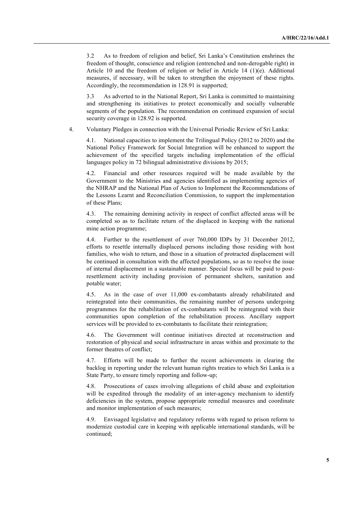3.2 As to freedom of religion and belief, Sri Lanka's Constitution enshrines the freedom of thought, conscience and religion (entrenched and non-derogable right) in Article 10 and the freedom of religion or belief in Article 14 (1)(e). Additional measures, if necessary, will be taken to strengthen the enjoyment of these rights. Accordingly, the recommendation in 128.91 is supported;

3.3 As adverted to in the National Report, Sri Lanka is committed to maintaining and strengthening its initiatives to protect economically and socially vulnerable segments of the population. The recommendation on continued expansion of social security coverage in 128.92 is supported.

4. Voluntary Pledges in connection with the Universal Periodic Review of Sri Lanka:

4.1. National capacities to implement the Trilingual Policy (2012 to 2020) and the National Policy Framework for Social Integration will be enhanced to support the achievement of the specified targets including implementation of the official languages policy in 72 bilingual administrative divisions by 2015;

4.2. Financial and other resources required will be made available by the Government to the Ministries and agencies identified as implementing agencies of the NHRAP and the National Plan of Action to Implement the Recommendations of the Lessons Learnt and Reconciliation Commission, to support the implementation of these Plans;

4.3. The remaining demining activity in respect of conflict affected areas will be completed so as to facilitate return of the displaced in keeping with the national mine action programme;

4.4. Further to the resettlement of over 760,000 IDPs by 31 December 2012, efforts to resettle internally displaced persons including those residing with host families, who wish to return, and those in a situation of protracted displacement will be continued in consultation with the affected populations, so as to resolve the issue of internal displacement in a sustainable manner. Special focus will be paid to postresettlement activity including provision of permanent shelters, sanitation and potable water;

4.5. As in the case of over 11,000 ex-combatants already rehabilitated and reintegrated into their communities, the remaining number of persons undergoing programmes for the rehabilitation of ex-combatants will be reintegrated with their communities upon completion of the rehabilitation process. Ancillary support services will be provided to ex-combatants to facilitate their reintegration;

4.6. The Government will continue initiatives directed at reconstruction and restoration of physical and social infrastructure in areas within and proximate to the former theatres of conflict;

4.7. Efforts will be made to further the recent achievements in clearing the backlog in reporting under the relevant human rights treaties to which Sri Lanka is a State Party, to ensure timely reporting and follow-up;

4.8. Prosecutions of cases involving allegations of child abuse and exploitation will be expedited through the modality of an inter-agency mechanism to identify deficiencies in the system, propose appropriate remedial measures and coordinate and monitor implementation of such measures;

4.9. Envisaged legislative and regulatory reforms with regard to prison reform to modernize custodial care in keeping with applicable international standards, will be continued;